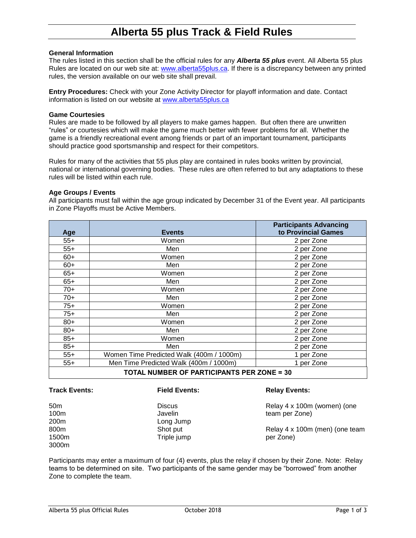# **Alberta 55 plus Track & Field Rules**

### **General Information**

The rules listed in this section shall be the official rules for any *Alberta 55 plus* event. All Alberta 55 plus Rules are located on our web site at: [www.alberta55plus.ca.](http://www.alberta55plus.ca/) If there is a discrepancy between any printed rules, the version available on our web site shall prevail.

**Entry Procedures:** Check with your Zone Activity Director for playoff information and date. Contact information is listed on our website at [www.alberta55plus.ca](http://www.alberta55plus.ca/)

### **Game Courtesies**

Rules are made to be followed by all players to make games happen. But often there are unwritten "rules" or courtesies which will make the game much better with fewer problems for all. Whether the game is a friendly recreational event among friends or part of an important tournament, participants should practice good sportsmanship and respect for their competitors.

Rules for many of the activities that 55 plus play are contained in rules books written by provincial, national or international governing bodies. These rules are often referred to but any adaptations to these rules will be listed within each rule.

### **Age Groups / Events**

All participants must fall within the age group indicated by December 31 of the Event year. All participants in Zone Playoffs must be Active Members.

| Age                                               | <b>Events</b>                            | <b>Participants Advancing</b><br>to Provincial Games |  |  |  |  |
|---------------------------------------------------|------------------------------------------|------------------------------------------------------|--|--|--|--|
| $55+$                                             | Women                                    | 2 per Zone                                           |  |  |  |  |
| $55+$                                             | Men                                      | 2 per Zone                                           |  |  |  |  |
| $60+$                                             | Women                                    | 2 per Zone                                           |  |  |  |  |
| $60+$                                             | Men                                      | 2 per Zone                                           |  |  |  |  |
| $65+$                                             | Women                                    | 2 per Zone                                           |  |  |  |  |
| $65+$                                             | Men                                      | 2 per Zone                                           |  |  |  |  |
| $70+$                                             | Women                                    | 2 per Zone                                           |  |  |  |  |
| $70+$                                             | Men                                      | 2 per Zone                                           |  |  |  |  |
| $75+$                                             | Women                                    | 2 per Zone                                           |  |  |  |  |
| $75+$                                             | Men                                      | 2 per Zone                                           |  |  |  |  |
| $80+$                                             | Women                                    | 2 per Zone                                           |  |  |  |  |
| $80+$                                             | Men                                      | 2 per Zone                                           |  |  |  |  |
| $85+$                                             | Women                                    | 2 per Zone                                           |  |  |  |  |
| $85+$                                             | Men                                      | 2 per Zone                                           |  |  |  |  |
| $55+$                                             | Women Time Predicted Walk (400m / 1000m) | 1 per Zone                                           |  |  |  |  |
| $55+$                                             | Men Time Predicted Walk (400m / 1000m)   | 1 per Zone                                           |  |  |  |  |
| <b>TOTAL NUMBER OF PARTICIPANTS PER ZONE = 30</b> |                                          |                                                      |  |  |  |  |

### **Track Events:**

#### **Field Events:**

50m 100m 200m 800m 1500m 3000m

**Discus** Javelin Long Jump Shot put Triple jump

### **Relay Events:**

Relay 4 x 100m (women) (one team per Zone)

Relay 4 x 100m (men) (one team per Zone)

Participants may enter a maximum of four (4) events, plus the relay if chosen by their Zone. Note: Relay teams to be determined on site. Two participants of the same gender may be "borrowed" from another Zone to complete the team.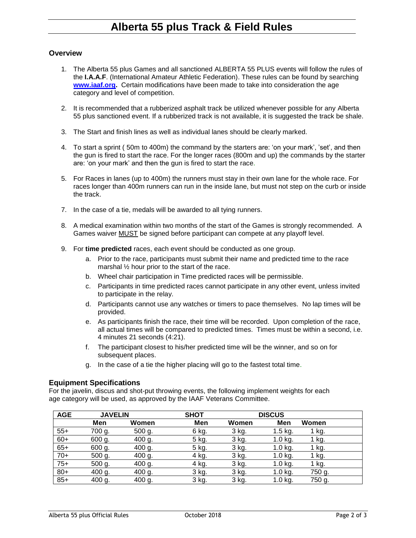# **Alberta 55 plus Track & Field Rules**

## **Overview**

- 1. The Alberta 55 plus Games and all sanctioned ALBERTA 55 PLUS events will follow the rules of the **I.A.A.F**. (International Amateur Athletic Federation). These rules can be found by searching **[www.iaaf.org.](http://www.iaaf.org/)** Certain modifications have been made to take into consideration the age category and level of competition.
- 2. It is recommended that a rubberized asphalt track be utilized whenever possible for any Alberta 55 plus sanctioned event. If a rubberized track is not available, it is suggested the track be shale.
- 3. The Start and finish lines as well as individual lanes should be clearly marked.
- 4. To start a sprint ( 50m to 400m) the command by the starters are: 'on your mark', 'set', and then the gun is fired to start the race. For the longer races (800m and up) the commands by the starter are: 'on your mark' and then the gun is fired to start the race.
- 5. For Races in lanes (up to 400m) the runners must stay in their own lane for the whole race. For races longer than 400m runners can run in the inside lane, but must not step on the curb or inside the track.
- 7. In the case of a tie, medals will be awarded to all tying runners.
- 8. A medical examination within two months of the start of the Games is strongly recommended. A Games waiver MUST be signed before participant can compete at any playoff level.
- 9. For **time predicted** races, each event should be conducted as one group.
	- a. Prior to the race, participants must submit their name and predicted time to the race marshal ½ hour prior to the start of the race.
	- b. Wheel chair participation in Time predicted races will be permissible.
	- c. Participants in time predicted races cannot participate in any other event, unless invited to participate in the relay.
	- d. Participants cannot use any watches or timers to pace themselves. No lap times will be provided.
	- e. As participants finish the race, their time will be recorded. Upon completion of the race, all actual times will be compared to predicted times. Times must be within a second, i.e. 4 minutes 21 seconds (4:21).
	- f. The participant closest to his/her predicted time will be the winner, and so on for subsequent places.
	- g. In the case of a tie the higher placing will go to the fastest total time.

### **Equipment Specifications**

For the javelin, discus and shot-put throwing events, the following implement weights for each age category will be used, as approved by the IAAF Veterans Committee.

| <b>AGE</b> | <b>JAVELIN</b> |          | <b>SHOT</b> |       | <b>DISCUS</b> |        |
|------------|----------------|----------|-------------|-------|---------------|--------|
|            | Men            | Women    | Men         | Women | Men           | Women  |
| $55+$      | 700 g.         | $500$ g. | 6 kg.       | 3 kg. | $1.5$ kg.     | 1 kg.  |
| $60+$      | 600 g.         | 400 g.   | 5 kg.       | 3 kg. | $1.0$ kg.     | 1 kg.  |
| $65+$      | 600 g.         | 400 g.   | 5 kg.       | 3 kg. | 1.0 kg.       | 1 kg.  |
| $70+$      | 500 g.         | 400 g.   | 4 kg.       | 3 kg. | $1.0$ kg.     | 1 kg.  |
| $75+$      | 500 g.         | 400 g.   | 4 kg.       | 3 kg. | $1.0$ kg.     | 1 kg.  |
| $80+$      | 400 g.         | 400 g.   | 3 kg.       | 3 kg. | $1.0$ kg.     | 750 g. |
| $85+$      | 400 g.         | 400 g.   | 3 kg.       | 3 kg. | $1.0$ kg.     | 750 g. |